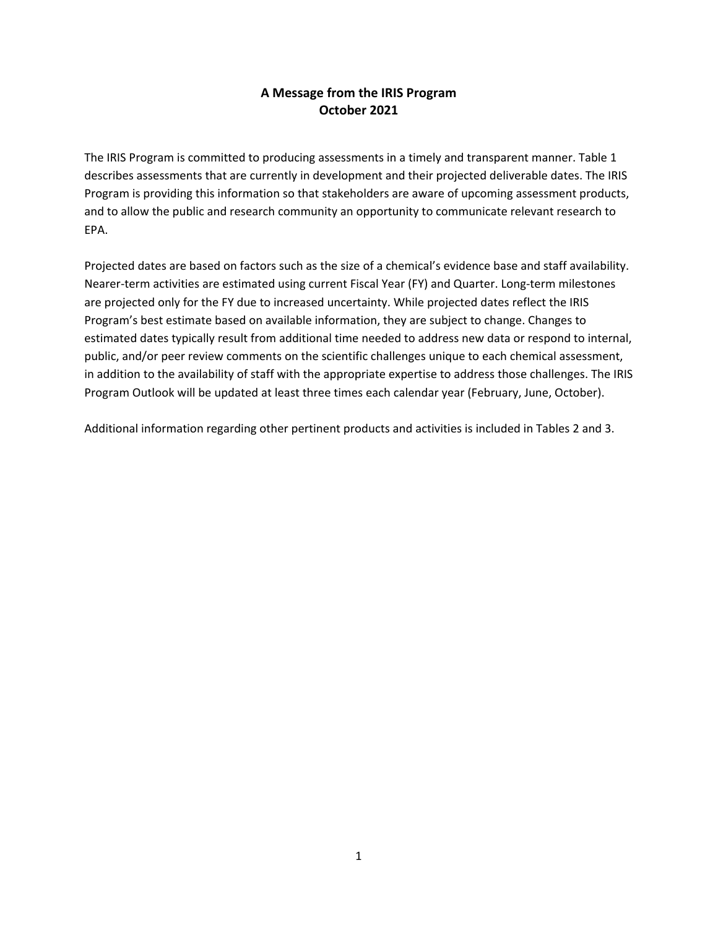## **A Message from the IRIS Program October 2021**

The IRIS Program is committed to producing assessments in a timely and transparent manner. Table 1 describes assessments that are currently in development and their projected deliverable dates. The IRIS Program is providing this information so that stakeholders are aware of upcoming assessment products, and to allow the public and research community an opportunity to communicate relevant research to EPA.

Projected dates are based on factors such as the size of a chemical's evidence base and staff availability. Nearer-term activities are estimated using current Fiscal Year (FY) and Quarter. Long-term milestones are projected only for the FY due to increased uncertainty. While projected dates reflect the IRIS Program's best estimate based on available information, they are subject to change. Changes to estimated dates typically result from additional time needed to address new data or respond to internal, public, and/or peer review comments on the scientific challenges unique to each chemical assessment, in addition to the availability of staff with the appropriate expertise to address those challenges. The IRIS Program Outlook will be updated at least three times each calendar year (February, June, October).

Additional information regarding other pertinent products and activities is included in Tables 2 and 3.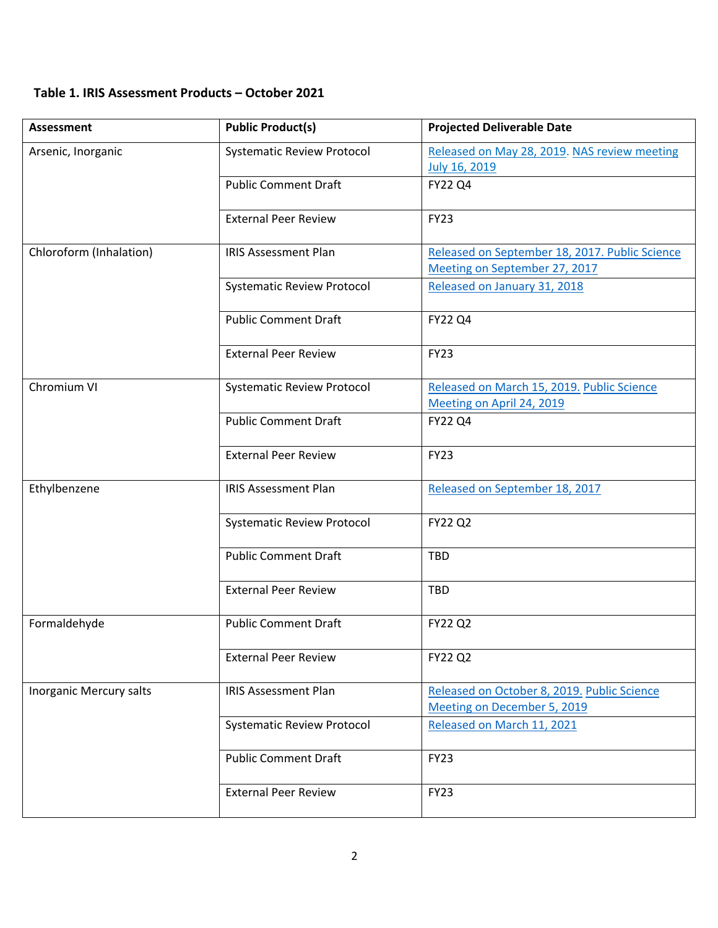## **Table 1. IRIS Assessment Products – October 2021**

| <b>Assessment</b>       | <b>Public Product(s)</b>          | <b>Projected Deliverable Date</b>                                               |
|-------------------------|-----------------------------------|---------------------------------------------------------------------------------|
| Arsenic, Inorganic      | <b>Systematic Review Protocol</b> | Released on May 28, 2019. NAS review meeting<br>July 16, 2019                   |
|                         | <b>Public Comment Draft</b>       | <b>FY22 Q4</b>                                                                  |
|                         | <b>External Peer Review</b>       | <b>FY23</b>                                                                     |
| Chloroform (Inhalation) | <b>IRIS Assessment Plan</b>       | Released on September 18, 2017. Public Science<br>Meeting on September 27, 2017 |
|                         | <b>Systematic Review Protocol</b> | Released on January 31, 2018                                                    |
|                         | <b>Public Comment Draft</b>       | <b>FY22 Q4</b>                                                                  |
|                         | <b>External Peer Review</b>       | <b>FY23</b>                                                                     |
| Chromium VI             | <b>Systematic Review Protocol</b> | Released on March 15, 2019. Public Science<br>Meeting on April 24, 2019         |
|                         | <b>Public Comment Draft</b>       | <b>FY22 Q4</b>                                                                  |
|                         | <b>External Peer Review</b>       | <b>FY23</b>                                                                     |
| Ethylbenzene            | <b>IRIS Assessment Plan</b>       | Released on September 18, 2017                                                  |
|                         | <b>Systematic Review Protocol</b> | <b>FY22 Q2</b>                                                                  |
|                         | <b>Public Comment Draft</b>       | <b>TBD</b>                                                                      |
|                         | <b>External Peer Review</b>       | <b>TBD</b>                                                                      |
| Formaldehyde            | <b>Public Comment Draft</b>       | <b>FY22 Q2</b>                                                                  |
|                         | <b>External Peer Review</b>       | <b>FY22 Q2</b>                                                                  |
| Inorganic Mercury salts | <b>IRIS Assessment Plan</b>       | Released on October 8, 2019. Public Science<br>Meeting on December 5, 2019      |
|                         | <b>Systematic Review Protocol</b> | Released on March 11, 2021                                                      |
|                         | <b>Public Comment Draft</b>       | <b>FY23</b>                                                                     |
|                         | <b>External Peer Review</b>       | <b>FY23</b>                                                                     |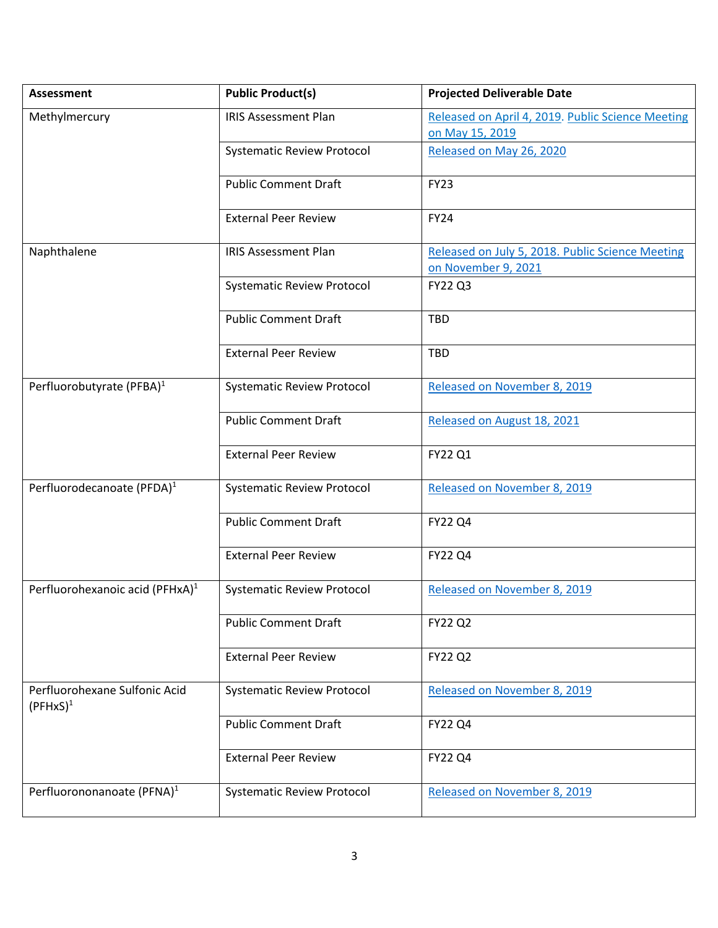| <b>Assessment</b>                            | <b>Public Product(s)</b>          | <b>Projected Deliverable Date</b>                                       |
|----------------------------------------------|-----------------------------------|-------------------------------------------------------------------------|
| Methylmercury                                | <b>IRIS Assessment Plan</b>       | Released on April 4, 2019. Public Science Meeting                       |
|                                              |                                   | on May 15, 2019                                                         |
|                                              | <b>Systematic Review Protocol</b> | Released on May 26, 2020                                                |
|                                              | <b>Public Comment Draft</b>       | <b>FY23</b>                                                             |
|                                              | <b>External Peer Review</b>       | <b>FY24</b>                                                             |
| Naphthalene                                  | <b>IRIS Assessment Plan</b>       | Released on July 5, 2018. Public Science Meeting<br>on November 9, 2021 |
|                                              | <b>Systematic Review Protocol</b> | <b>FY22 Q3</b>                                                          |
|                                              | <b>Public Comment Draft</b>       | <b>TBD</b>                                                              |
|                                              | <b>External Peer Review</b>       | <b>TBD</b>                                                              |
| Perfluorobutyrate (PFBA) <sup>1</sup>        | <b>Systematic Review Protocol</b> | Released on November 8, 2019                                            |
|                                              | <b>Public Comment Draft</b>       | Released on August 18, 2021                                             |
|                                              | <b>External Peer Review</b>       | FY22 Q1                                                                 |
| Perfluorodecanoate (PFDA) <sup>1</sup>       | <b>Systematic Review Protocol</b> | Released on November 8, 2019                                            |
|                                              | <b>Public Comment Draft</b>       | <b>FY22 Q4</b>                                                          |
|                                              | <b>External Peer Review</b>       | <b>FY22 Q4</b>                                                          |
| Perfluorohexanoic acid (PFHxA) <sup>1</sup>  | <b>Systematic Review Protocol</b> | Released on November 8, 2019                                            |
|                                              | <b>Public Comment Draft</b>       | <b>FY22 Q2</b>                                                          |
|                                              | <b>External Peer Review</b>       | <b>FY22 Q2</b>                                                          |
| Perfluorohexane Sulfonic Acid<br>$(PFHxS)^1$ | <b>Systematic Review Protocol</b> | Released on November 8, 2019                                            |
|                                              | <b>Public Comment Draft</b>       | <b>FY22 Q4</b>                                                          |
|                                              | <b>External Peer Review</b>       | <b>FY22 Q4</b>                                                          |
| Perfluorononanoate (PFNA) <sup>1</sup>       | <b>Systematic Review Protocol</b> | Released on November 8, 2019                                            |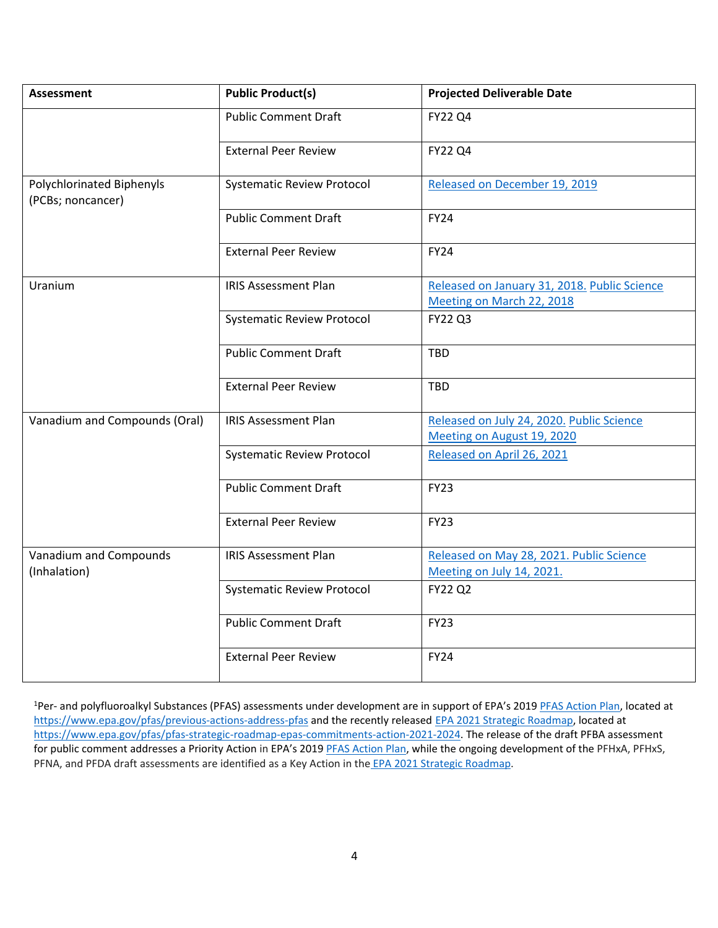| <b>Assessment</b>                              | <b>Public Product(s)</b>          | <b>Projected Deliverable Date</b>                                       |
|------------------------------------------------|-----------------------------------|-------------------------------------------------------------------------|
|                                                | <b>Public Comment Draft</b>       | FY22 Q4                                                                 |
|                                                | <b>External Peer Review</b>       | FY22 Q4                                                                 |
| Polychlorinated Biphenyls<br>(PCBs; noncancer) | <b>Systematic Review Protocol</b> | Released on December 19, 2019                                           |
|                                                | <b>Public Comment Draft</b>       | <b>FY24</b>                                                             |
|                                                | <b>External Peer Review</b>       | <b>FY24</b>                                                             |
| Uranium                                        | <b>IRIS Assessment Plan</b>       | Released on January 31, 2018. Public Science                            |
|                                                |                                   | Meeting on March 22, 2018                                               |
|                                                | <b>Systematic Review Protocol</b> | <b>FY22 Q3</b>                                                          |
|                                                | <b>Public Comment Draft</b>       | <b>TBD</b>                                                              |
|                                                | <b>External Peer Review</b>       | <b>TBD</b>                                                              |
| Vanadium and Compounds (Oral)                  | <b>IRIS Assessment Plan</b>       | Released on July 24, 2020. Public Science<br>Meeting on August 19, 2020 |
|                                                | <b>Systematic Review Protocol</b> | Released on April 26, 2021                                              |
|                                                | <b>Public Comment Draft</b>       | <b>FY23</b>                                                             |
|                                                | <b>External Peer Review</b>       | <b>FY23</b>                                                             |
| Vanadium and Compounds<br>(Inhalation)         | <b>IRIS Assessment Plan</b>       | Released on May 28, 2021. Public Science<br>Meeting on July 14, 2021.   |
|                                                | <b>Systematic Review Protocol</b> | <b>FY22 Q2</b>                                                          |
|                                                | <b>Public Comment Draft</b>       | <b>FY23</b>                                                             |
|                                                | <b>External Peer Review</b>       | <b>FY24</b>                                                             |

<sup>1</sup>Per- and polyfluoroalkyl Substances (PFAS) assessments under development are in support of EPA's 2019 **PFAS Action Plan**, located at <https://www.epa.gov/pfas/previous-actions-address-pfas> and the recently released [EPA 2021 Strategic Roadmap,](https://www.epa.gov/system/files/documents/2021-10/pfas-roadmap_final-508.pdf) located at [https://www.epa.gov/pfas/pfas-strategic-roadmap-epas-commitments-action-2021-2024.](https://www.epa.gov/pfas/pfas-strategic-roadmap-epas-commitments-action-2021-2024) The release of the draft PFBA assessment for public comment addresses a Priority Action in EPA's 2019 [PFAS Action Plan,](https://www.epa.gov/sites/default/files/2019-02/documents/pfas_action_plan_021319_508compliant_1.pdf) while the ongoing development of the PFHxA, PFHxS, PFNA, and PFDA draft assessments are identified as a Key Action in the [EPA 2021 Strategic Roadmap.](https://www.epa.gov/system/files/documents/2021-10/pfas-roadmap_final-508.pdf)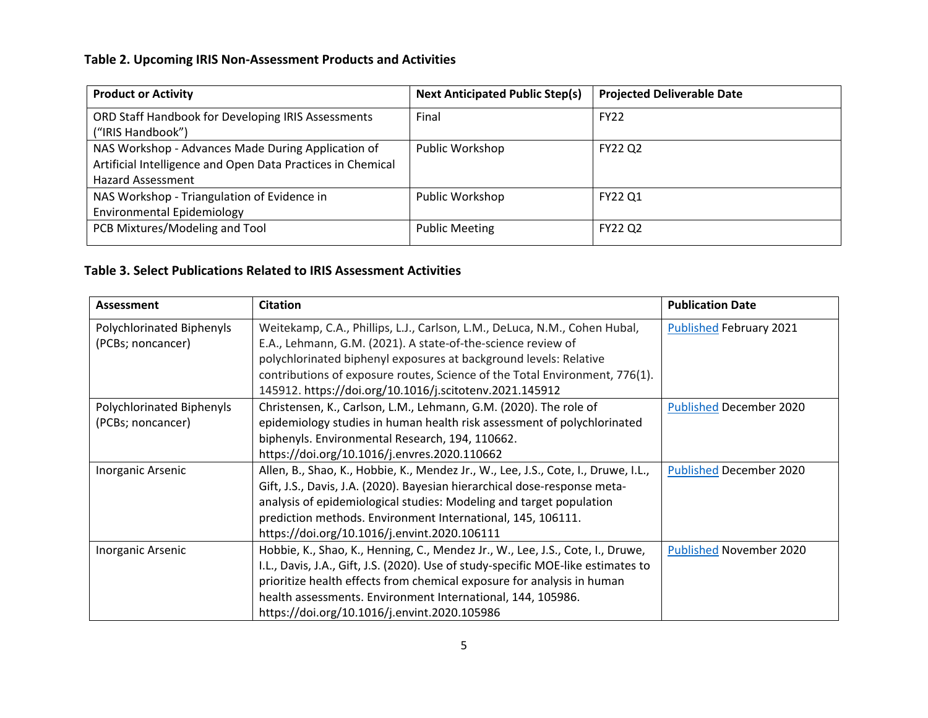## **Table 2. Upcoming IRIS Non-Assessment Products and Activities**

| <b>Product or Activity</b>                                                                                                                    | <b>Next Anticipated Public Step(s)</b> | <b>Projected Deliverable Date</b> |
|-----------------------------------------------------------------------------------------------------------------------------------------------|----------------------------------------|-----------------------------------|
| ORD Staff Handbook for Developing IRIS Assessments<br>("IRIS Handbook")                                                                       | Final                                  | <b>FY22</b>                       |
| NAS Workshop - Advances Made During Application of<br>Artificial Intelligence and Open Data Practices in Chemical<br><b>Hazard Assessment</b> | Public Workshop                        | <b>FY22 Q2</b>                    |
| NAS Workshop - Triangulation of Evidence in<br><b>Environmental Epidemiology</b>                                                              | Public Workshop                        | FY22 Q1                           |
| PCB Mixtures/Modeling and Tool                                                                                                                | <b>Public Meeting</b>                  | <b>FY22 Q2</b>                    |

## **Table 3. Select Publications Related to IRIS Assessment Activities**

| Assessment                | <b>Citation</b>                                                                    | <b>Publication Date</b>        |
|---------------------------|------------------------------------------------------------------------------------|--------------------------------|
| Polychlorinated Biphenyls | Weitekamp, C.A., Phillips, L.J., Carlson, L.M., DeLuca, N.M., Cohen Hubal,         | <b>Published February 2021</b> |
| (PCBs; noncancer)         | E.A., Lehmann, G.M. (2021). A state-of-the-science review of                       |                                |
|                           | polychlorinated biphenyl exposures at background levels: Relative                  |                                |
|                           | contributions of exposure routes, Science of the Total Environment, 776(1).        |                                |
|                           | 145912. https://doi.org/10.1016/j.scitotenv.2021.145912                            |                                |
| Polychlorinated Biphenyls | Christensen, K., Carlson, L.M., Lehmann, G.M. (2020). The role of                  | <b>Published December 2020</b> |
| (PCBs; noncancer)         | epidemiology studies in human health risk assessment of polychlorinated            |                                |
|                           | biphenyls. Environmental Research, 194, 110662.                                    |                                |
|                           | https://doi.org/10.1016/j.envres.2020.110662                                       |                                |
| Inorganic Arsenic         | Allen, B., Shao, K., Hobbie, K., Mendez Jr., W., Lee, J.S., Cote, I., Druwe, I.L., | <b>Published December 2020</b> |
|                           | Gift, J.S., Davis, J.A. (2020). Bayesian hierarchical dose-response meta-          |                                |
|                           | analysis of epidemiological studies: Modeling and target population                |                                |
|                           | prediction methods. Environment International, 145, 106111.                        |                                |
|                           | https://doi.org/10.1016/j.envint.2020.106111                                       |                                |
| Inorganic Arsenic         | Hobbie, K., Shao, K., Henning, C., Mendez Jr., W., Lee, J.S., Cote, I., Druwe,     | Published November 2020        |
|                           | I.L., Davis, J.A., Gift, J.S. (2020). Use of study-specific MOE-like estimates to  |                                |
|                           | prioritize health effects from chemical exposure for analysis in human             |                                |
|                           | health assessments. Environment International, 144, 105986.                        |                                |
|                           | https://doi.org/10.1016/j.envint.2020.105986                                       |                                |